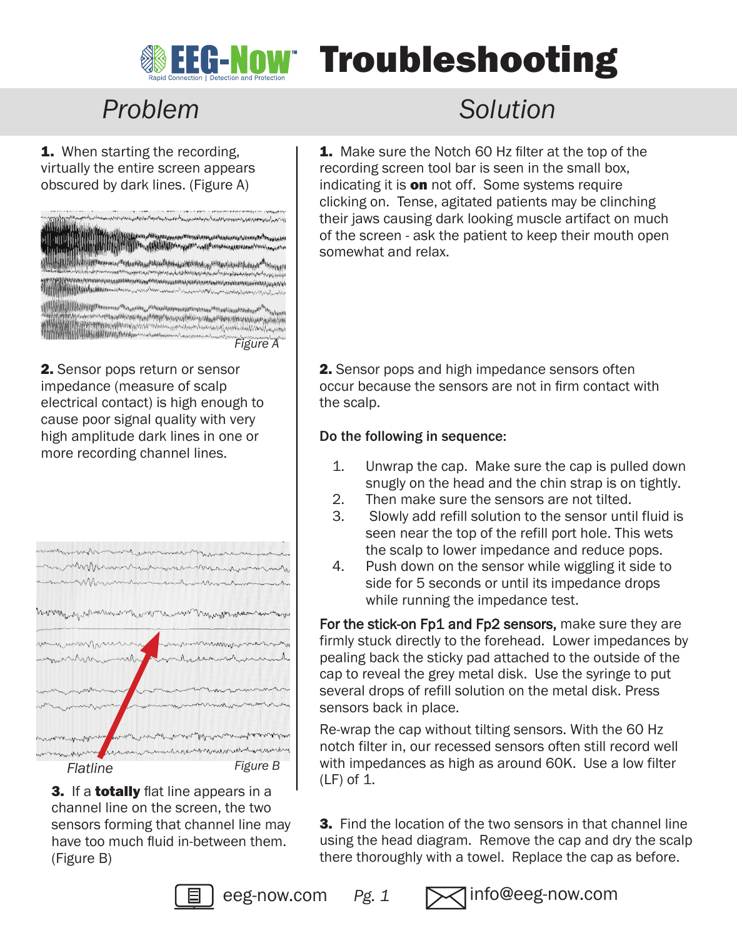

# **WEG-NOW Troubleshooting**

## *Problem Solution*

1. When starting the recording, virtually the entire screen appears obscured by dark lines. (Figure A)

| وإستهم أوالإستيمام المرابعة والمتعاون المتعاطية المهاب المتستور والمتعاطية والمسارين                                                                                                                                                              |
|---------------------------------------------------------------------------------------------------------------------------------------------------------------------------------------------------------------------------------------------------|
|                                                                                                                                                                                                                                                   |
| туббаргариялы <sup>мп</sup> таталат <sub>а</sub> качылыкы менен ба <sub>тыла</sub> на<br>Hill Brothers Hill Broches  He achieved the company of the company                                                                                       |
|                                                                                                                                                                                                                                                   |
| وللافتر ومنعية المتباط <sub>امتر</sub> وتؤفره<br><b>Whattade Pr</b><br>APProxy property and property and the company of the company of the company of the company of the                                                                          |
| a <sub>n di</sub> yang kata bang dan di kata banya dan dan banya dan dan banya dan dan dan banya dan dan banya dan banya da<br>بموالة أوسور بالمهام والرامع والبادع الموالين والمراسي والمحالي المستوجب والسمان ومعيد معجزة والمراس ومعيره فأغاره |
|                                                                                                                                                                                                                                                   |
| hiesphinkage <sup>69</sup><br>ANNUNSULUQUALI-silAgaPTOppins<br>population of the content of the content of the content of the content of the content                                                                                              |
| Roblingtonoporthesomology                                                                                                                                                                                                                         |
| Figure A                                                                                                                                                                                                                                          |

2. Sensor pops return or sensor impedance (measure of scalp electrical contact) is high enough to cause poor signal quality with very high amplitude dark lines in one or more recording channel lines.



3. If a **totally** flat line appears in a channel line on the screen, the two sensors forming that channel line may have too much fluid in-between them. (Figure B)

1. Make sure the Notch 60 Hz filter at the top of the recording screen tool bar is seen in the small box, indicating it is **on** not off. Some systems require clicking on. Tense, agitated patients may be clinching their jaws causing dark looking muscle artifact on much of the screen - ask the patient to keep their mouth open somewhat and relax.

2. Sensor pops and high impedance sensors often occur because the sensors are not in firm contact with the scalp.

## Do the following in sequence:

- 1. Unwrap the cap. Make sure the cap is pulled down snugly on the head and the chin strap is on tightly.
- 2. Then make sure the sensors are not tilted.<br>3. Slowly add refill solution to the sensor until
- 3. Slowly add refill solution to the sensor until fluid is seen near the top of the refill port hole. This wets the scalp to lower impedance and reduce pops.
- 4. Push down on the sensor while wiggling it side to side for 5 seconds or until its impedance drops while running the impedance test.

For the stick-on Fp1 and Fp2 sensors, make sure they are firmly stuck directly to the forehead. Lower impedances by pealing back the sticky pad attached to the outside of the cap to reveal the grey metal disk. Use the syringe to put several drops of refill solution on the metal disk. Press sensors back in place.

Re-wrap the cap without tilting sensors. With the 60 Hz notch filter in, our recessed sensors often still record well with impedances as high as around 60K. Use a low filter  $(LF)$  of 1.

**3.** Find the location of the two sensors in that channel line using the head diagram. Remove the cap and dry the scalp there thoroughly with a towel. Replace the cap as before.



eeg-now.com *Pg. 1* info@eeg-now.com